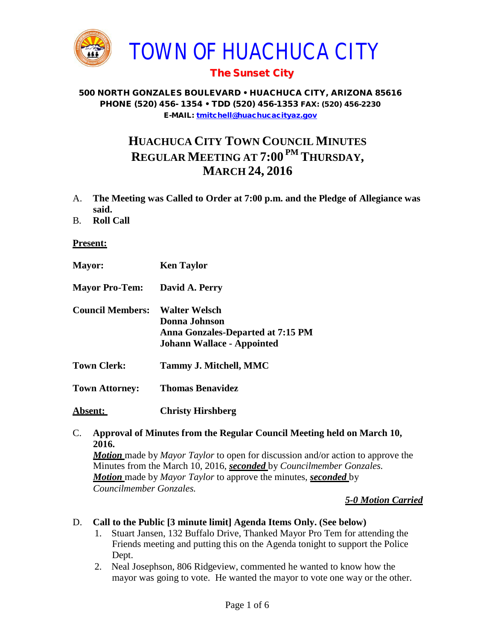

# The Sunset City

#### 500 NORTH GONZALES BOULEVARD • HUACHUCA CITY, ARIZONA 85616 PHONE (520) 456- 1354 • TDD (520) 456-1353 FAX: (520) 456-2230 E-MAIL: [tmitchell@huachucacityaz.gov](mailto:tmitchell@huachucacityaz.gov)

# **HUACHUCA CITY TOWN COUNCIL MINUTES REGULAR MEETING AT 7:00 PM THURSDAY, MARCH 24, 2016**

- A. **The Meeting was Called to Order at 7:00 p.m. and the Pledge of Allegiance was said.**
- B. **Roll Call**

#### **Present:**

| <b>Mayor:</b>           | <b>Ken Taylor</b>                                                                                               |
|-------------------------|-----------------------------------------------------------------------------------------------------------------|
| <b>Mayor Pro-Tem:</b>   | David A. Perry                                                                                                  |
| <b>Council Members:</b> | <b>Walter Welsch</b><br>Donna Johnson<br>Anna Gonzales-Departed at 7:15 PM<br><b>Johann Wallace - Appointed</b> |
| <b>Town Clerk:</b>      | Tammy J. Mitchell, MMC                                                                                          |
| <b>Town Attorney:</b>   | <b>Thomas Benavidez</b>                                                                                         |
| <u> Absent:</u>         | <b>Christy Hirshberg</b>                                                                                        |

## C. **Approval of Minutes from the Regular Council Meeting held on March 10, 2016.** *Motion* made by *Mayor Taylor* to open for discussion and/or action to approve the Minutes from the March 10, 2016, *seconded* by *Councilmember Gonzales. Motion* made by *Mayor Taylor* to approve the minutes, *seconded* by

*Councilmember Gonzales.*

#### *5-0 Motion Carried*

D. **Call to the Public [3 minute limit] Agenda Items Only. (See below)**

- 1. Stuart Jansen, 132 Buffalo Drive, Thanked Mayor Pro Tem for attending the Friends meeting and putting this on the Agenda tonight to support the Police Dept.
- 2. Neal Josephson, 806 Ridgeview, commented he wanted to know how the mayor was going to vote. He wanted the mayor to vote one way or the other.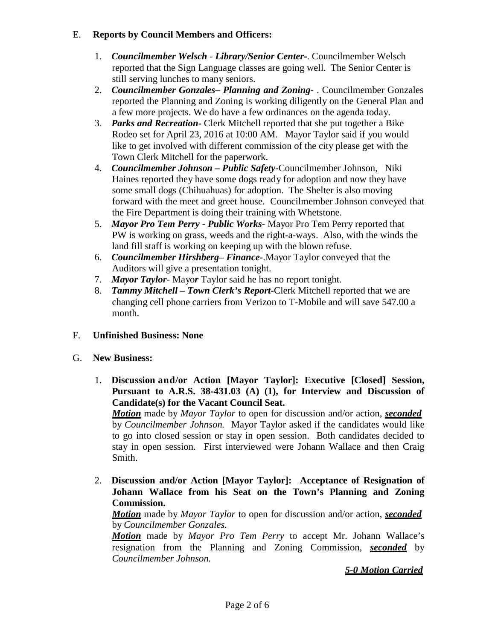## E. **Reports by Council Members and Officers:**

- 1. *Councilmember Welsch - Library/Senior Center***-**. Councilmember Welsch reported that the Sign Language classes are going well. The Senior Center is still serving lunches to many seniors.
- 2. *Councilmember Gonzales***–** *Planning and Zoning-* . Councilmember Gonzales reported the Planning and Zoning is working diligently on the General Plan and a few more projects. We do have a few ordinances on the agenda today.
- 3. *Parks and Recreation***-** Clerk Mitchell reported that she put together a Bike Rodeo set for April 23, 2016 at 10:00 AM. Mayor Taylor said if you would like to get involved with different commission of the city please get with the Town Clerk Mitchell for the paperwork.
- 4. *Councilmember Johnson – Public Safety-*Councilmember Johnson, Niki Haines reported they have some dogs ready for adoption and now they have some small dogs (Chihuahuas) for adoption. The Shelter is also moving forward with the meet and greet house. Councilmember Johnson conveyed that the Fire Department is doing their training with Whetstone.
- 5. *Mayor Pro Tem Perry Public Works-* Mayor Pro Tem Perry reported that PW is working on grass, weeds and the right-a-ways. Also, with the winds the land fill staff is working on keeping up with the blown refuse.
- 6. *Councilmember Hirshberg***–** *Finance-*.Mayor Taylor conveyed that the Auditors will give a presentation tonight.
- 7. *Mayor Taylor* Mayo*r* Taylor said he has no report tonight.
- 8. *Tammy Mitchell – Town Clerk's Report-*Clerk Mitchell reported that we are changing cell phone carriers from Verizon to T-Mobile and will save 547.00 a month.
- F. **Unfinished Business: None**
- G. **New Business:**
	- 1. **Discussion and/or Action [Mayor Taylor]: Executive [Closed] Session, Pursuant to A.R.S. 38-431.03 (A) (1), for Interview and Discussion of Candidate(s) for the Vacant Council Seat.**

*Motion* made by *Mayor Taylor* to open for discussion and/or action, *seconded* by *Councilmember Johnson.* Mayor Taylor asked if the candidates would like to go into closed session or stay in open session. Both candidates decided to stay in open session. First interviewed were Johann Wallace and then Craig Smith.

2. **Discussion and/or Action [Mayor Taylor]: Acceptance of Resignation of Johann Wallace from his Seat on the Town's Planning and Zoning Commission.**

*Motion* made by *Mayor Taylor* to open for discussion and/or action, *seconded* by *Councilmember Gonzales.*

*Motion* made by *Mayor Pro Tem Perry* to accept Mr. Johann Wallace's resignation from the Planning and Zoning Commission, *seconded* by *Councilmember Johnson.*

## *5-0 Motion Carried*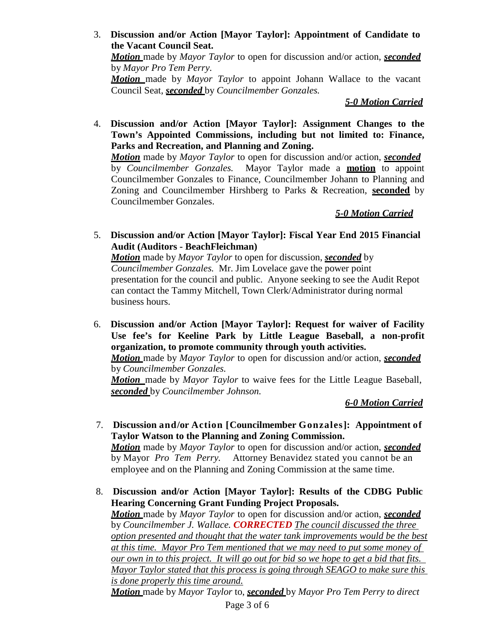#### 3. **Discussion and/or Action [Mayor Taylor]: Appointment of Candidate to the Vacant Council Seat.** *Motion* made by *Mayor Taylor* to open for discussion and/or action, *seconded*

by *Mayor Pro Tem Perry.*

*Motion* made by *Mayor Taylor* to appoint Johann Wallace to the vacant Council Seat, *seconded* by *Councilmember Gonzales.*

## *5-0 Motion Carried*

4. **Discussion and/or Action [Mayor Taylor]: Assignment Changes to the Town's Appointed Commissions, including but not limited to: Finance, Parks and Recreation, and Planning and Zoning.**

*Motion* made by *Mayor Taylor* to open for discussion and/or action, *seconded* by *Councilmember Gonzales.* Mayor Taylor made a **motion** to appoint Councilmember Gonzales to Finance, Councilmember Johann to Planning and Zoning and Councilmember Hirshberg to Parks & Recreation, **seconded** by Councilmember Gonzales.

## *5-0 Motion Carried*

5. **Discussion and/or Action [Mayor Taylor]: Fiscal Year End 2015 Financial Audit (Auditors - BeachFleichman)**

*Motion* made by *Mayor Taylor* to open for discussion, *seconded* by *Councilmember Gonzales.* Mr. Jim Lovelace gave the power point presentation for the council and public. Anyone seeking to see the Audit Repot can contact the Tammy Mitchell, Town Clerk/Administrator during normal business hours.

6. **Discussion and/or Action [Mayor Taylor]: Request for waiver of Facility Use fee's for Keeline Park by Little League Baseball, a non-profit organization, to promote community through youth activities.**

*Motion* made by *Mayor Taylor* to open for discussion and/or action, *seconded* by *Councilmember Gonzales.*

*Motion* made by *Mayor Taylor* to waive fees for the Little League Baseball, *seconded* by *Councilmember Johnson.*

## *6-0 Motion Carried*

- 7. **Discussion and/or Action [Councilmember Gonzales]: Appointment of Taylor Watson to the Planning and Zoning Commission.** *Motion* made by *Mayor Taylor* to open for discussion and/or action, *seconded* by Mayor *Pro Tem Perry.* Attorney Benavidez stated you cannot be an employee and on the Planning and Zoning Commission at the same time.
- 8. **Discussion and/or Action [Mayor Taylor]: Results of the CDBG Public Hearing Concerning Grant Funding Project Proposals.** *Motion* made by *Mayor Taylor* to open for discussion and/or action, *seconded* by *Councilmember J. Wallace. CORRECTED The council discussed the three option presented and thought that the water tank improvements would be the best at this time. Mayor Pro Tem mentioned that we may need to put some money of our own in to this project. It will go out for bid so we hope to get a bid that fits. Mayor Taylor stated that this process is going through SEAGO to make sure this is done properly this time around.*

*Motion* made by *Mayor Taylor* to, *seconded* by *Mayor Pro Tem Perry to direct*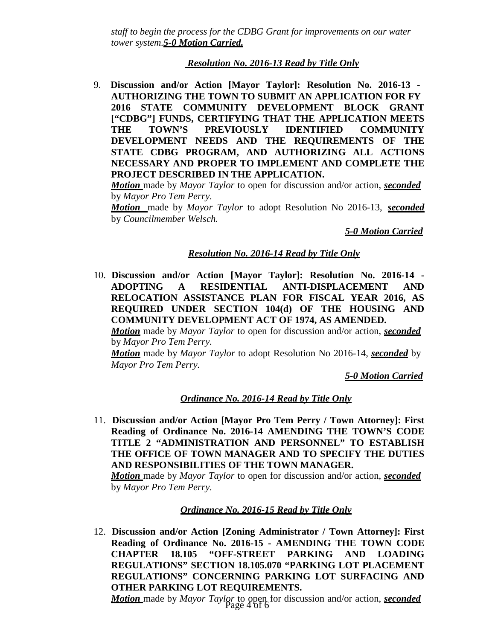*staff to begin the process for the CDBG Grant for improvements on our water tower system.5-0 Motion Carried.*

## *Resolution No. 2016-13 Read by Title Only*

9. **Discussion and/or Action [Mayor Taylor]: Resolution No. 2016-13** - **AUTHORIZING THE TOWN TO SUBMIT AN APPLICATION FOR FY 2016 STATE COMMUNITY DEVELOPMENT BLOCK GRANT ["CDBG"] FUNDS, CERTIFYING THAT THE APPLICATION MEETS THE TOWN'S PREVIOUSLY IDENTIFIED COMMUNITY DEVELOPMENT NEEDS AND THE REQUIREMENTS OF THE STATE CDBG PROGRAM, AND AUTHORIZING ALL ACTIONS NECESSARY AND PROPER TO IMPLEMENT AND COMPLETE THE PROJECT DESCRIBED IN THE APPLICATION.**

*Motion* made by *Mayor Taylor* to open for discussion and/or action, *seconded* by *Mayor Pro Tem Perry.*

*Motion* made by *Mayor Taylor* to adopt Resolution No 2016-13, *seconded*  by *Councilmember Welsch.*

*5-0 Motion Carried*

## *Resolution No. 2016-14 Read by Title Only*

10. **Discussion and/or Action [Mayor Taylor]: Resolution No. 2016-14 - ADOPTING A RESIDENTIAL ANTI-DISPLACEMENT AND RELOCATION ASSISTANCE PLAN FOR FISCAL YEAR 2016, AS REQUIRED UNDER SECTION 104(d) OF THE HOUSING AND COMMUNITY DEVELOPMENT ACT OF 1974, AS AMENDED.**

*Motion* made by *Mayor Taylor* to open for discussion and/or action, *seconded* by *Mayor Pro Tem Perry.*

*Motion* made by *Mayor Taylor* to adopt Resolution No 2016-14, *seconded* by *Mayor Pro Tem Perry.*

*5-0 Motion Carried*

## *Ordinance No. 2016-14 Read by Title Only*

11. **Discussion and/or Action [Mayor Pro Tem Perry / Town Attorney]: First Reading of Ordinance No. 2016-14 AMENDING THE TOWN'S CODE TITLE 2 "ADMINISTRATION AND PERSONNEL" TO ESTABLISH THE OFFICE OF TOWN MANAGER AND TO SPECIFY THE DUTIES AND RESPONSIBILITIES OF THE TOWN MANAGER.**

*Motion* made by *Mayor Taylor* to open for discussion and/or action, *seconded* by *Mayor Pro Tem Perry.*

#### *Ordinance No. 2016-15 Read by Title Only*

12. **Discussion and/or Action [Zoning Administrator / Town Attorney]: First Reading of Ordinance No. 2016-15 - AMENDING THE TOWN CODE CHAPTER 18.105 "OFF-STREET PARKING AND LOADING REGULATIONS" SECTION 18.105.070 "PARKING LOT PLACEMENT REGULATIONS" CONCERNING PARKING LOT SURFACING AND OTHER PARKING LOT REQUIREMENTS.**

Page 4 of 6 *Motion* made by *Mayor Taylor* to open for discussion and/or action, *seconded*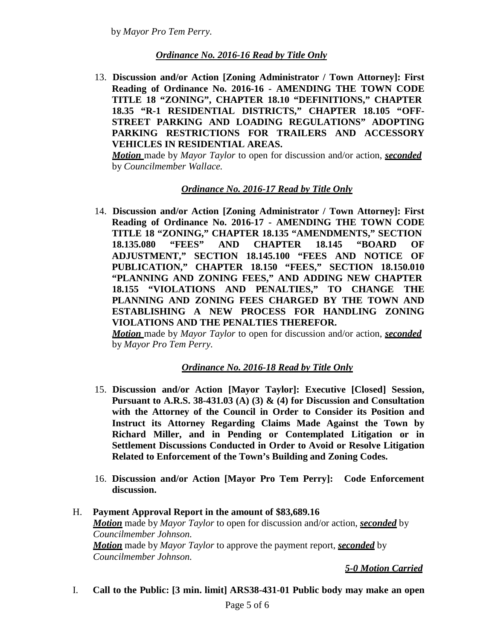by *Mayor Pro Tem Perry.*

## *Ordinance No. 2016-16 Read by Title Only*

13. **Discussion and/or Action [Zoning Administrator / Town Attorney]: First Reading of Ordinance No. 2016-16 - AMENDING THE TOWN CODE TITLE 18 "ZONING", CHAPTER 18.10 "DEFINITIONS," CHAPTER 18.35 "R-1 RESIDENTIAL DISTRICTS," CHAPTER 18.105 "OFF-STREET PARKING AND LOADING REGULATIONS" ADOPTING PARKING RESTRICTIONS FOR TRAILERS AND ACCESSORY VEHICLES IN RESIDENTIAL AREAS.**

*Motion* made by *Mayor Taylor* to open for discussion and/or action, *seconded* by *Councilmember Wallace.*

## *Ordinance No. 2016-17 Read by Title Only*

14. **Discussion and/or Action [Zoning Administrator / Town Attorney]: First Reading of Ordinance No. 2016-17 - AMENDING THE TOWN CODE TITLE 18 "ZONING," CHAPTER 18.135 "AMENDMENTS," SECTION 18.135.080 "FEES" AND CHAPTER 18.145 "BOARD OF ADJUSTMENT," SECTION 18.145.100 "FEES AND NOTICE OF PUBLICATION," CHAPTER 18.150 "FEES," SECTION 18.150.010 "PLANNING AND ZONING FEES," AND ADDING NEW CHAPTER 18.155 "VIOLATIONS AND PENALTIES," TO CHANGE THE PLANNING AND ZONING FEES CHARGED BY THE TOWN AND ESTABLISHING A NEW PROCESS FOR HANDLING ZONING VIOLATIONS AND THE PENALTIES THEREFOR.**

*Motion* made by *Mayor Taylor* to open for discussion and/or action, *seconded* by *Mayor Pro Tem Perry.*

#### *Ordinance No. 2016-18 Read by Title Only*

- 15. **Discussion and/or Action [Mayor Taylor]: Executive [Closed] Session, Pursuant to A.R.S. 38-431.03 (A) (3) & (4) for Discussion and Consultation with the Attorney of the Council in Order to Consider its Position and Instruct its Attorney Regarding Claims Made Against the Town by Richard Miller, and in Pending or Contemplated Litigation or in Settlement Discussions Conducted in Order to Avoid or Resolve Litigation Related to Enforcement of the Town's Building and Zoning Codes.**
- 16. **Discussion and/or Action [Mayor Pro Tem Perry]: Code Enforcement discussion.**
- H. **Payment Approval Report in the amount of \$83,689.16** *Motion* made by *Mayor Taylor* to open for discussion and/or action, *seconded* by *Councilmember Johnson. Motion* made by *Mayor Taylor* to approve the payment report, *seconded* by *Councilmember Johnson.*

*5-0 Motion Carried*

I. **Call to the Public: [3 min. limit] ARS38-431-01 Public body may make an open**